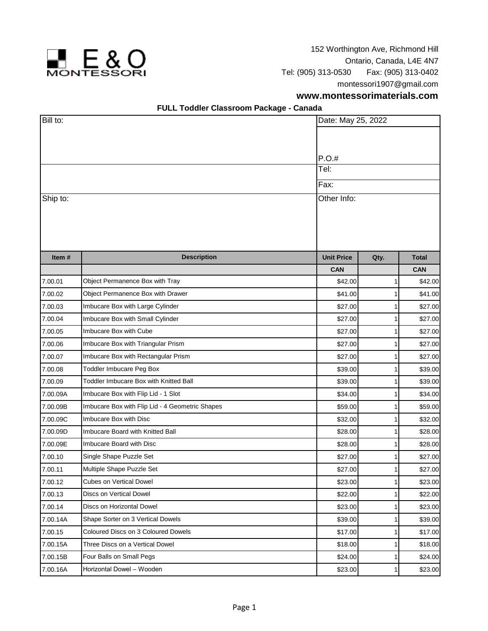

152 Worthington Ave, Richmond Hill Ontario, Canada, L4E 4N7 Tel: (905) 313-0530 Fax: (905) 313-0402 montessori1907@gmail.com

## **www.montessorimaterials.com**

## **FULL Toddler Classroom Package - Canada**

| Bill to: |                                                 |                   | Date: May 25, 2022 |              |  |
|----------|-------------------------------------------------|-------------------|--------------------|--------------|--|
|          |                                                 |                   |                    |              |  |
|          |                                                 |                   |                    |              |  |
|          |                                                 | P.O.#             |                    |              |  |
|          | Tel:                                            |                   |                    |              |  |
|          |                                                 | Fax:              |                    |              |  |
| Ship to: |                                                 | Other Info:       |                    |              |  |
|          |                                                 |                   |                    |              |  |
|          |                                                 |                   |                    |              |  |
|          |                                                 |                   |                    |              |  |
|          |                                                 |                   |                    |              |  |
| Item#    | <b>Description</b>                              | <b>Unit Price</b> | Qty.               | <b>Total</b> |  |
|          |                                                 | <b>CAN</b>        |                    | <b>CAN</b>   |  |
| 7.00.01  | Object Permanence Box with Tray                 | \$42.00           |                    | \$42.00      |  |
| 7.00.02  | Object Permanence Box with Drawer               | \$41.00           |                    | \$41.00      |  |
| 7.00.03  | Imbucare Box with Large Cylinder                | \$27.00           |                    | \$27.00      |  |
| 7.00.04  | Imbucare Box with Small Cylinder                | \$27.00           |                    | \$27.00      |  |
| 7.00.05  | Imbucare Box with Cube                          | \$27.00           |                    | \$27.00      |  |
| 7.00.06  | Imbucare Box with Triangular Prism              | \$27.00           |                    | \$27.00      |  |
| 7.00.07  | Imbucare Box with Rectangular Prism             | \$27.00           |                    | \$27.00      |  |
| 7.00.08  | Toddler Imbucare Peg Box                        | \$39.00           |                    | \$39.00      |  |
| 7.00.09  | Toddler Imbucare Box with Knitted Ball          | \$39.00           |                    | \$39.00      |  |
| 7.00.09A | Imbucare Box with Flip Lid - 1 Slot             | \$34.00           |                    | \$34.00      |  |
| 7.00.09B | Imbucare Box with Flip Lid - 4 Geometric Shapes | \$59.00           |                    | \$59.00      |  |
| 7.00.09C | Imbucare Box with Disc                          | \$32.00           | 1                  | \$32.00      |  |
| 7.00.09D | Imbucare Board with Knitted Ball                | \$28.00           |                    | \$28.00      |  |
| 7.00.09E | Imbucare Board with Disc                        | \$28.00           |                    | \$28.00      |  |
| 7.00.10  | Single Shape Puzzle Set                         | \$27.00           |                    | \$27.00      |  |
| 7.00.11  | Multiple Shape Puzzle Set                       | \$27.00           |                    | \$27.00      |  |
| 7.00.12  | <b>Cubes on Vertical Dowel</b>                  | \$23.00           | 1                  | \$23.00      |  |
| 7.00.13  | Discs on Vertical Dowel                         | \$22.00           |                    | \$22.00      |  |
| 7.00.14  | Discs on Horizontal Dowel                       | \$23.00           |                    | \$23.00      |  |
| 7.00.14A | Shape Sorter on 3 Vertical Dowels               | \$39.00           | 1                  | \$39.00      |  |
| 7.00.15  | Coloured Discs on 3 Coloured Dowels             | \$17.00           |                    | \$17.00      |  |
| 7.00.15A | Three Discs on a Vertical Dowel                 | \$18.00           |                    | \$18.00      |  |
| 7.00.15B | Four Balls on Small Pegs                        | \$24.00           |                    | \$24.00      |  |
| 7.00.16A | Horizontal Dowel - Wooden                       | \$23.00           | 1                  | \$23.00      |  |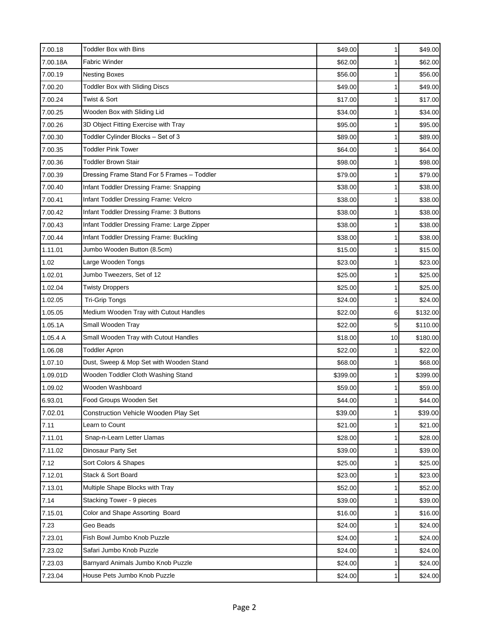| 7.00.18  | <b>Toddler Box with Bins</b>                | \$49.00  | 1              | \$49.00  |
|----------|---------------------------------------------|----------|----------------|----------|
| 7.00.18A | <b>Fabric Winder</b>                        | \$62.00  | $\mathbf{1}$   | \$62.00  |
| 7.00.19  | <b>Nesting Boxes</b>                        | \$56.00  | 1              | \$56.00  |
| 7.00.20  | <b>Toddler Box with Sliding Discs</b>       | \$49.00  |                | \$49.00  |
| 7.00.24  | Twist & Sort                                | \$17.00  | 1              | \$17.00  |
| 7.00.25  | Wooden Box with Sliding Lid                 | \$34.00  |                | \$34.00  |
| 7.00.26  | 3D Object Fitting Exercise with Tray        | \$95.00  |                | \$95.00  |
| 7.00.30  | Toddler Cylinder Blocks - Set of 3          | \$89.00  |                | \$89.00  |
| 7.00.35  | <b>Toddler Pink Tower</b>                   | \$64.00  |                | \$64.00  |
| 7.00.36  | <b>Toddler Brown Stair</b>                  | \$98.00  | 1              | \$98.00  |
| 7.00.39  | Dressing Frame Stand For 5 Frames - Toddler | \$79.00  |                | \$79.00  |
| 7.00.40  | Infant Toddler Dressing Frame: Snapping     | \$38.00  |                | \$38.00  |
| 7.00.41  | Infant Toddler Dressing Frame: Velcro       | \$38.00  |                | \$38.00  |
| 7.00.42  | Infant Toddler Dressing Frame: 3 Buttons    | \$38.00  |                | \$38.00  |
| 7.00.43  | Infant Toddler Dressing Frame: Large Zipper | \$38.00  | 1              | \$38.00  |
| 7.00.44  | Infant Toddler Dressing Frame: Buckling     | \$38.00  |                | \$38.00  |
| 1.11.01  | Jumbo Wooden Button (8.5cm)                 | \$15.00  |                | \$15.00  |
| 1.02     | Large Wooden Tongs                          | \$23.00  | 1              | \$23.00  |
| 1.02.01  | Jumbo Tweezers, Set of 12                   | \$25.00  | 1              | \$25.00  |
| 1.02.04  | <b>Twisty Droppers</b>                      | \$25.00  | 1              | \$25.00  |
| 1.02.05  | <b>Tri-Grip Tongs</b>                       | \$24.00  |                | \$24.00  |
| 1.05.05  | Medium Wooden Tray with Cutout Handles      | \$22.00  | $6 \mid$       | \$132.00 |
| 1.05.1A  | Small Wooden Tray                           | \$22.00  | 5 <sup>1</sup> | \$110.00 |
| 1.05.4 A | Small Wooden Tray with Cutout Handles       | \$18.00  | 10             | \$180.00 |
| 1.06.08  | <b>Toddler Apron</b>                        | \$22.00  |                | \$22.00  |
| 1.07.10  | Dust, Sweep & Mop Set with Wooden Stand     | \$68.00  | 1              | \$68.00  |
| 1.09.01D | Wooden Toddler Cloth Washing Stand          | \$399.00 |                | \$399.00 |
| 1.09.02  | Wooden Washboard                            | \$59.00  |                | \$59.00  |
| 6.93.01  | Food Groups Wooden Set                      | \$44.00  |                | \$44.00  |
| 7.02.01  | <b>Construction Vehicle Wooden Play Set</b> | \$39.00  | 1              | \$39.00  |
| 7.11     | Learn to Count                              | \$21.00  | 1              | \$21.00  |
| 7.11.01  | Snap-n-Learn Letter Llamas                  | \$28.00  |                | \$28.00  |
| 7.11.02  | Dinosaur Party Set                          | \$39.00  |                | \$39.00  |
| 7.12     | Sort Colors & Shapes                        | \$25.00  | 1              | \$25.00  |
| 7.12.01  | Stack & Sort Board                          | \$23.00  |                | \$23.00  |
| 7.13.01  | Multiple Shape Blocks with Tray             | \$52.00  | 1              | \$52.00  |
| 7.14     | Stacking Tower - 9 pieces                   | \$39.00  |                | \$39.00  |
| 7.15.01  | Color and Shape Assorting Board             | \$16.00  |                | \$16.00  |
| 7.23     | Geo Beads                                   | \$24.00  | 1              | \$24.00  |
| 7.23.01  | Fish Bowl Jumbo Knob Puzzle                 | \$24.00  | 1              | \$24.00  |
| 7.23.02  | Safari Jumbo Knob Puzzle                    | \$24.00  |                | \$24.00  |
| 7.23.03  | Barnyard Animals Jumbo Knob Puzzle          | \$24.00  | 1              | \$24.00  |
| 7.23.04  | House Pets Jumbo Knob Puzzle                | \$24.00  | $\mathbf{1}$   | \$24.00  |